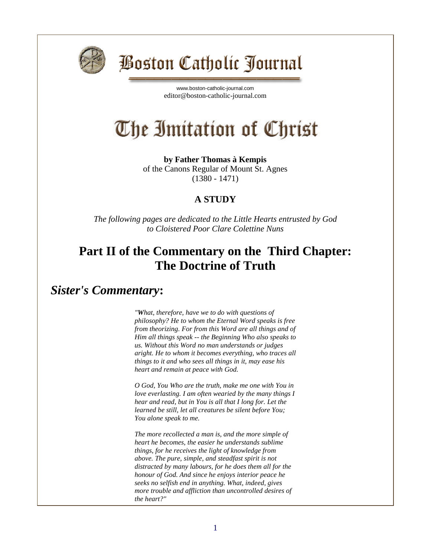

## **Boston Catholic Journal**

[www.boston-catholic-journal.com](http://www.boston-catholic-journal.com/) editor@boston-catholic-journal.com

# The Imitation of Christ

**by Father Thomas à Kempis** of the Canons Regular of Mount St. Agnes (1380 - 1471)

#### **A STUDY**

*The following pages are dedicated to the Little Hearts entrusted by God to Cloistered Poor Clare Colettine Nuns*

### **Part II of the Commentary on the Third Chapter: The Doctrine of Truth**

#### *Sister's Commentary***:**

*"What, therefore, have we to do with questions of philosophy? He to whom the Eternal Word speaks is free from theorizing. For from this Word are all things and of Him all things speak -- the Beginning Who also speaks to us. Without this Word no man understands or judges aright. He to whom it becomes everything, who traces all things to it and who sees all things in it, may ease his heart and remain at peace with God.*

*O God, You Who are the truth, make me one with You in love everlasting. I am often wearied by the many things I hear and read, but in You is all that I long for. Let the learned be still, let all creatures be silent before You; You alone speak to me.*

*The more recollected a man is, and the more simple of heart he becomes, the easier he understands sublime things, for he receives the light of knowledge from above. The pure, simple, and steadfast spirit is not distracted by many labours, for he does them all for the honour of God. And since he enjoys interior peace he seeks no selfish end in anything. What, indeed, gives more trouble and affliction than uncontrolled desires of the heart?"*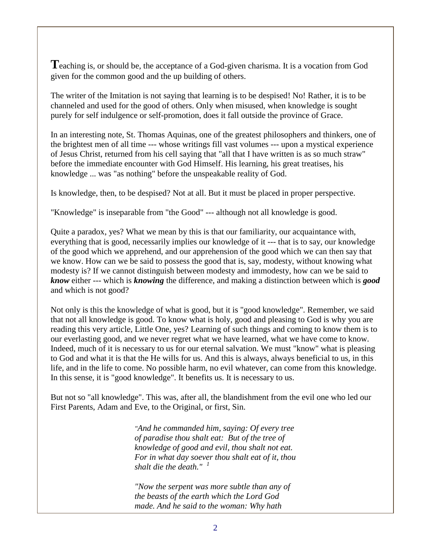**T**eaching is, or should be, the acceptance of a God-given charisma. It is a vocation from God given for the common good and the up building of others.

The writer of the Imitation is not saying that learning is to be despised! No! Rather, it is to be channeled and used for the good of others. Only when misused, when knowledge is sought purely for self indulgence or self-promotion, does it fall outside the province of Grace.

In an interesting note, St. Thomas Aquinas, one of the greatest philosophers and thinkers, one of the brightest men of all time --- whose writings fill vast volumes --- upon a mystical experience of Jesus Christ, returned from his cell saying that "all that I have written is as so much straw" before the immediate encounter with God Himself. His learning, his great treatises, his knowledge ... was "as nothing" before the unspeakable reality of God.

Is knowledge, then, to be despised? Not at all. But it must be placed in proper perspective.

"Knowledge" is inseparable from "the Good" --- although not all knowledge is good.

Quite a paradox, yes? What we mean by this is that our familiarity, our acquaintance with, everything that is good, necessarily implies our knowledge of it --- that is to say, our knowledge of the good which we apprehend, and our apprehension of the good which we can then say that we know. How can we be said to possess the good that is, say, modesty, without knowing what modesty is? If we cannot distinguish between modesty and immodesty, how can we be said to *know* either --- which is *knowing* the difference, and making a distinction between which is *good* and which is not good?

Not only is this the knowledge of what is good, but it is "good knowledge". Remember, we said that not all knowledge is good. To know what is holy, good and pleasing to God is why you are reading this very article, Little One, yes? Learning of such things and coming to know them is to our everlasting good, and we never regret what we have learned, what we have come to know. Indeed, much of it is necessary to us for our eternal salvation. We must "know" what is pleasing to God and what it is that the He wills for us. And this is always, always beneficial to us, in this life, and in the life to come. No possible harm, no evil whatever, can come from this knowledge. In this sense, it is "good knowledge". It benefits us. It is necessary to us.

But not so "all knowledge". This was, after all, the blandishment from the evil one who led our First Parents, Adam and Eve, to the Original, or first, Sin.

> *"And he commanded him, saying: Of every tree of paradise thou shalt eat: But of the tree of knowledge of good and evil, thou shalt not eat. For in what day soever thou shalt eat of it, thou shalt die the death." <sup>1</sup>*

*"Now the serpent was more subtle than any of the beasts of the earth which the Lord God made. And he said to the woman: Why hath*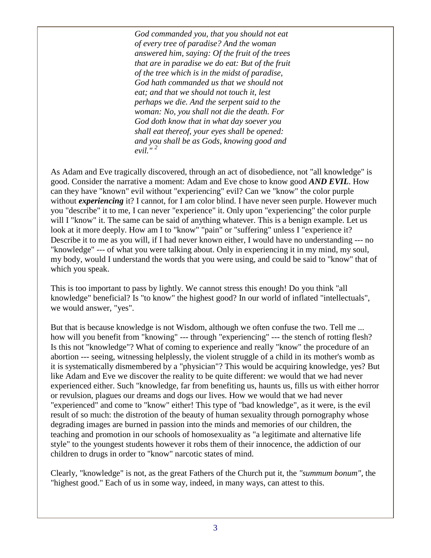*God commanded you, that you should not eat of every tree of paradise? And the woman answered him, saying: Of the fruit of the trees that are in paradise we do eat: But of the fruit of the tree which is in the midst of paradise, God hath commanded us that we should not eat; and that we should not touch it, lest perhaps we die. And the serpent said to the woman: No, you shall not die the death. For God doth know that in what day soever you shall eat thereof, your eyes shall be opened: and you shall be as Gods, knowing good and evil." <sup>2</sup>*

As Adam and Eve tragically discovered, through an act of disobedience, not "all knowledge" is good. Consider the narrative a moment: Adam and Eve chose to know good *AND EVIL*. How can they have "known" evil without "experiencing" evil? Can we "know" the color purple without *experiencing* it? I cannot, for I am color blind. I have never seen purple. However much you "describe" it to me, I can never "experience" it. Only upon "experiencing" the color purple will I "know" it. The same can be said of anything whatever. This is a benign example. Let us look at it more deeply. How am I to "know" "pain" or "suffering" unless I "experience it? Describe it to me as you will, if I had never known either, I would have no understanding --- no "knowledge" --- of what you were talking about. Only in experiencing it in my mind, my soul, my body, would I understand the words that you were using, and could be said to "know" that of which you speak.

This is too important to pass by lightly. We cannot stress this enough! Do you think "all knowledge" beneficial? Is "to know" the highest good? In our world of inflated "intellectuals", we would answer, "yes".

But that is because knowledge is not Wisdom, although we often confuse the two. Tell me ... how will you benefit from "knowing" --- through "experiencing" --- the stench of rotting flesh? Is this not "knowledge"? What of coming to experience and really "know" the procedure of an abortion --- seeing, witnessing helplessly, the violent struggle of a child in its mother's womb as it is systematically dismembered by a "physician"? This would be acquiring knowledge, yes? But like Adam and Eve we discover the reality to be quite different: we would that we had never experienced either. Such "knowledge, far from benefiting us, haunts us, fills us with either horror or revulsion, plagues our dreams and dogs our lives. How we would that we had never "experienced" and come to "know" either! This type of "bad knowledge", as it were, is the evil result of so much: the distrotion of the beauty of human sexuality through pornography whose degrading images are burned in passion into the minds and memories of our children, the teaching and promotion in our schools of homosexuality as "a legitimate and alternative life style" to the youngest students however it robs them of their innocence, the addiction of our children to drugs in order to "know" narcotic states of mind.

Clearly, "knowledge" is not, as the great Fathers of the Church put it, the *"summum bonum"*, the "highest good." Each of us in some way, indeed, in many ways, can attest to this.